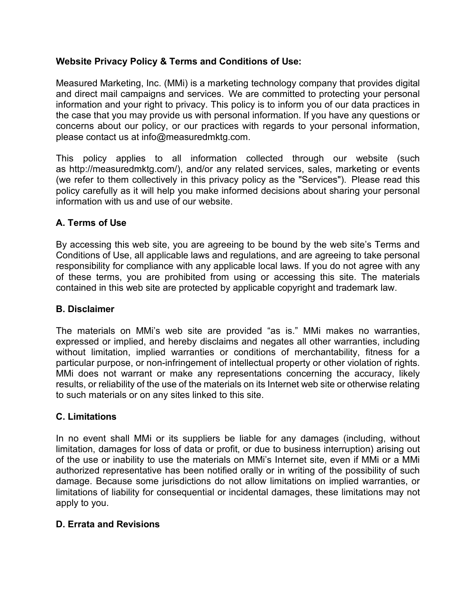# **Website Privacy Policy & Terms and Conditions of Use:**

Measured Marketing, Inc. (MMi) is a marketing technology company that provides digital and direct mail campaigns and services. We are committed to protecting your personal information and your right to privacy. This policy is to inform you of our data practices in the case that you may provide us with personal information. If you have any questions or concerns about our policy, or our practices with regards to your personal information, please contact us at [info@measuredmktg.com.](mailto:info@measuredmktg.com)

This policy applies to all information collected through our website (such as [http://measuredmktg.com/\),](http://measuredmktg.com/)) and/or any related services, sales, marketing or events (we refer to them collectively in this privacy policy as the "Services"). Please read this policy carefully as it will help you make informed decisions about sharing your personal information with us and use of our website.

## **A. Terms of Use**

By accessing this web site, you are agreeing to be bound by the web site's Terms and Conditions of Use, all applicable laws and regulations, and are agreeing to take personal responsibility for compliance with any applicable local laws. If you do not agree with any of these terms, you are prohibited from using or accessing this site. The materials contained in this web site are protected by applicable copyright and trademark law.

### **B. Disclaimer**

The materials on MMi's web site are provided "as is." MMi makes no warranties, expressed or implied, and hereby disclaims and negates all other warranties, including without limitation, implied warranties or conditions of merchantability, fitness for a particular purpose, or non-infringement of intellectual property or other violation of rights. MMi does not warrant or make any representations concerning the accuracy, likely results, or reliability of the use of the materials on its Internet web site or otherwise relating to such materials or on any sites linked to this site.

### **C. Limitations**

In no event shall MMi or its suppliers be liable for any damages (including, without limitation, damages for loss of data or profit, or due to business interruption) arising out of the use or inability to use the materials on MMi's Internet site, even if MMi or a MMi authorized representative has been notified orally or in writing of the possibility of such damage. Because some jurisdictions do not allow limitations on implied warranties, or limitations of liability for consequential or incidental damages, these limitations may not apply to you.

### **D. Errata and Revisions**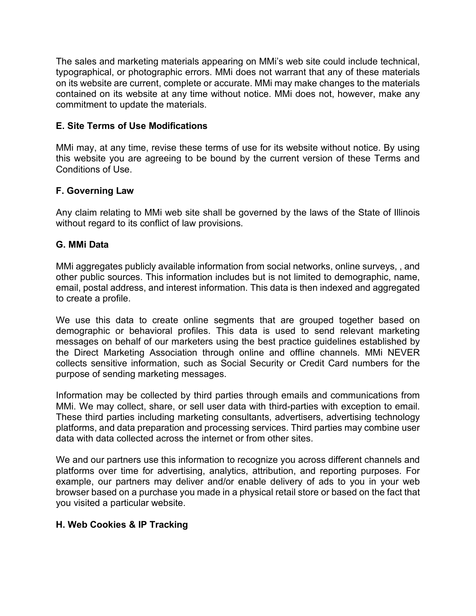The sales and marketing materials appearing on MMi's web site could include technical, typographical, or photographic errors. MMi does not warrant that any of these materials on its website are current, complete or accurate. MMi may make changes to the materials contained on its website at any time without notice. MMi does not, however, make any commitment to update the materials.

## **E. Site Terms of Use Modifications**

MMi may, at any time, revise these terms of use for its website without notice. By using this website you are agreeing to be bound by the current version of these Terms and Conditions of Use.

## **F. Governing Law**

Any claim relating to MMi web site shall be governed by the laws of the State of Illinois without regard to its conflict of law provisions.

## **G. MMi Data**

MMi aggregates publicly available information from social networks, online surveys, , and other public sources. This information includes but is not limited to demographic, name, email, postal address, and interest information. This data is then indexed and aggregated to create a profile.

We use this data to create online segments that are grouped together based on demographic or behavioral profiles. This data is used to send relevant marketing messages on behalf of our marketers using the best practice guidelines established by the Direct Marketing Association through online and offline channels. MMi NEVER collects sensitive information, such as Social Security or Credit Card numbers for the purpose of sending marketing messages.

Information may be collected by third parties through emails and communications from MMi. We may collect, share, or sell user data with third-parties with exception to email. These third parties including marketing consultants, advertisers, advertising technology platforms, and data preparation and processing services. Third parties may combine user data with data collected across the internet or from other sites.

We and our partners use this information to recognize you across different channels and platforms over time for advertising, analytics, attribution, and reporting purposes. For example, our partners may deliver and/or enable delivery of ads to you in your web browser based on a purchase you made in a physical retail store or based on the fact that you visited a particular website.

# **H. Web Cookies & IP Tracking**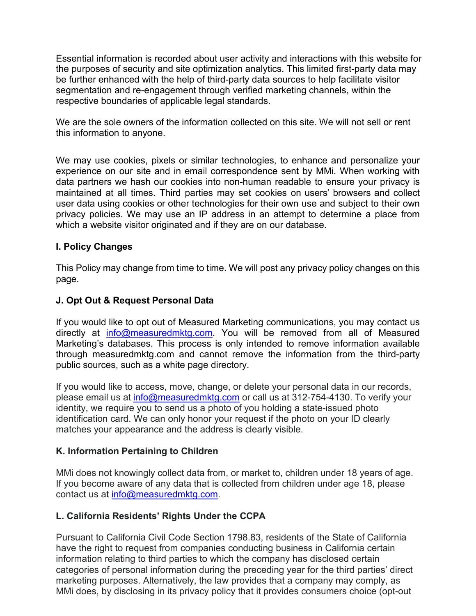Essential information is recorded about user activity and interactions with this website for the purposes of security and site optimization analytics. This limited first-party data may be further enhanced with the help of third-party data sources to help facilitate visitor segmentation and re-engagement through verified marketing channels, within the respective boundaries of applicable legal standards.

We are the sole owners of the information collected on this site. We will not sell or rent this information to anyone.

We may use cookies, pixels or similar technologies, to enhance and personalize your experience on our site and in email correspondence sent by MMi. When working with data partners we hash our cookies into non-human readable to ensure your privacy is maintained at all times. Third parties may set cookies on users' browsers and collect user data using cookies or other technologies for their own use and subject to their own privacy policies. We may use an IP address in an attempt to determine a place from which a website visitor originated and if they are on our database.

## **I. Policy Changes**

This Policy may change from time to time. We will post any privacy policy changes on this page.

### **J. Opt Out & Request Personal Data**

If you would like to opt out of Measured Marketing communications, you may contact us directly at [info@measuredmktg.com.](mailto:info@measuredmktg.com) You will be removed from all of Measured Marketing's databases. This process is only intended to remove information available through measuredmktg.com and cannot remove the information from the third-party public sources, such as a white page directory.

If you would like to access, move, change, or delete your personal data in our records, please email us at [info@measuredmktg.com](mailto:info@measuredmktg.com) or call us at 312-754-4130. To verify your identity, we require you to send us a photo of you holding a state-issued photo identification card. We can only honor your request if the photo on your ID clearly matches your appearance and the address is clearly visible.

### **K. Information Pertaining to Children**

MMi does not knowingly collect data from, or market to, children under 18 years of age. If you become aware of any data that is collected from children under age 18, please contact us at [info@measuredmktg.com.](mailto:info@measuredmktg.com)

# **L. California Residents' Rights Under the CCPA**

Pursuant to California Civil Code Section 1798.83, residents of the State of California have the right to request from companies conducting business in California certain information relating to third parties to which the company has disclosed certain categories of personal information during the preceding year for the third parties' direct marketing purposes. Alternatively, the law provides that a company may comply, as MMi does, by disclosing in its privacy policy that it provides consumers choice (opt-out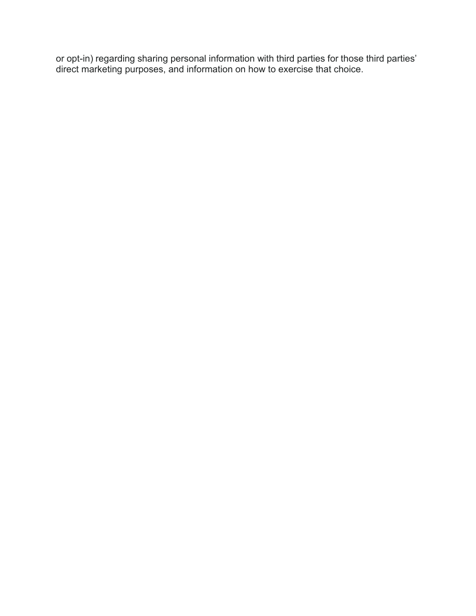or opt-in) regarding sharing personal information with third parties for those third parties' direct marketing purposes, and information on how to exercise that choice.